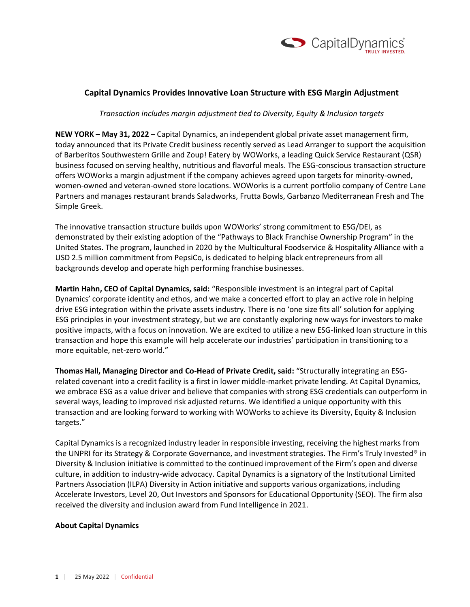

## **Capital Dynamics Provides Innovative Loan Structure with ESG Margin Adjustment**

*Transaction includes margin adjustment tied to Diversity, Equity & Inclusion targets* 

**NEW YORK – May 31, 2022** – Capital Dynamics, an independent global private asset management firm, today announced that its Private Credit business recently served as Lead Arranger to support the acquisition of Barberitos Southwestern Grille and Zoup! Eatery by WOWorks, a leading Quick Service Restaurant (QSR) business focused on serving healthy, nutritious and flavorful meals. The ESG-conscious transaction structure offers WOWorks a margin adjustment if the company achieves agreed upon targets for minority-owned, women-owned and veteran-owned store locations. WOWorks is a current portfolio company of Centre Lane Partners and manages restaurant brands Saladworks, Frutta Bowls, Garbanzo Mediterranean Fresh and The Simple Greek.

The innovative transaction structure builds upon WOWorks' strong commitment to ESG/DEI, as demonstrated by their existing adoption of the "Pathways to Black Franchise Ownership Program" in the United States. The program, launched in 2020 by the Multicultural Foodservice & Hospitality Alliance with a USD 2.5 million commitment from PepsiCo, is dedicated to helping black entrepreneurs from all backgrounds develop and operate high performing franchise businesses.

**Martin Hahn, CEO of Capital Dynamics, said:** "Responsible investment is an integral part of Capital Dynamics' corporate identity and ethos, and we make a concerted effort to play an active role in helping drive ESG integration within the private assets industry. There is no 'one size fits all' solution for applying ESG principles in your investment strategy, but we are constantly exploring new ways for investors to make positive impacts, with a focus on innovation. We are excited to utilize a new ESG-linked loan structure in this transaction and hope this example will help accelerate our industries' participation in transitioning to a more equitable, net-zero world."

**Thomas Hall, Managing Director and Co-Head of Private Credit, said:** "Structurally integrating an ESGrelated covenant into a credit facility is a first in lower middle-market private lending. At Capital Dynamics, we embrace ESG as a value driver and believe that companies with strong ESG credentials can outperform in several ways, leading to improved risk adjusted returns. We identified a unique opportunity with this transaction and are looking forward to working with WOWorks to achieve its Diversity, Equity & Inclusion targets."

Capital Dynamics is a recognized industry leader in responsible investing, receiving the highest marks from the UNPRI for its Strategy & Corporate Governance, and investment strategies. The Firm's Truly Invested® in Diversity & Inclusion initiative is committed to the continued improvement of the Firm's open and diverse culture, in addition to industry-wide advocacy. Capital Dynamics is a signatory of the Institutional Limited Partners Association (ILPA) Diversity in Action initiative and supports various organizations, including Accelerate Investors, Level 20, Out Investors and Sponsors for Educational Opportunity (SEO). The firm also received the diversity and inclusion award from Fund Intelligence in 2021.

## **About Capital Dynamics**